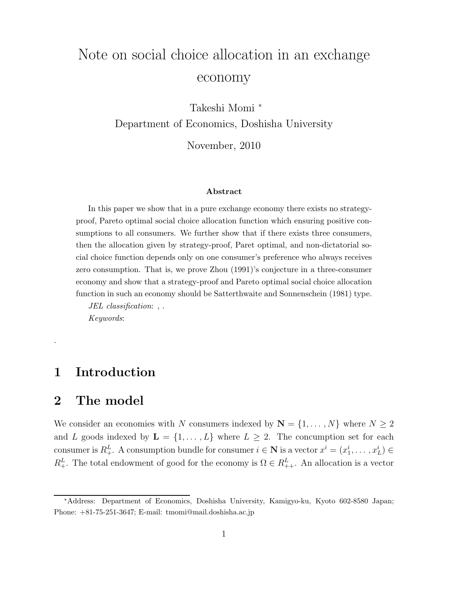# Note on social choice allocation in an exchange economy

Takeshi Momi <sup>∗</sup> Department of Economics, Doshisha University

November, 2010

#### **Abstract**

In this paper we show that in a pure exchange economy there exists no strategyproof, Pareto optimal social choice allocation function which ensuring positive consumptions to all consumers. We further show that if there exists three consumers, then the allocation given by strategy-proof, Paret optimal, and non-dictatorial social choice function depends only on one consumer's preference who always receives zero consumption. That is, we prove Zhou (1991)'s conjecture in a three-consumer economy and show that a strategy-proof and Pareto optimal social choice allocation function in such an economy should be Satterthwaite and Sonnenschein (1981) type. *JEL classification*:,.

*Keywords*:

# **1 Introduction**

.

# **2 The model**

We consider an economies with N consumers indexed by  $N = \{1, ..., N\}$  where  $N \geq 2$ and L goods indexed by  $\mathbf{L} = \{1, \ldots, L\}$  where  $L \geq 2$ . The concumption set for each consumer is  $R_+^L$ . A consumption bundle for consumer  $i \in \mathbb{N}$  is a vector  $x^i = (x_1^i, \ldots, x_L^i) \in$  $R_+^L$ . The total endowment of good for the economy is  $\Omega \in R_{++}^L$ . An allocation is a vector

<sup>∗</sup>Address: Department of Economics, Doshisha University, Kamigyo-ku, Kyoto 602-8580 Japan; Phone: +81-75-251-3647; E-mail: tmomi@mail.doshisha.ac.jp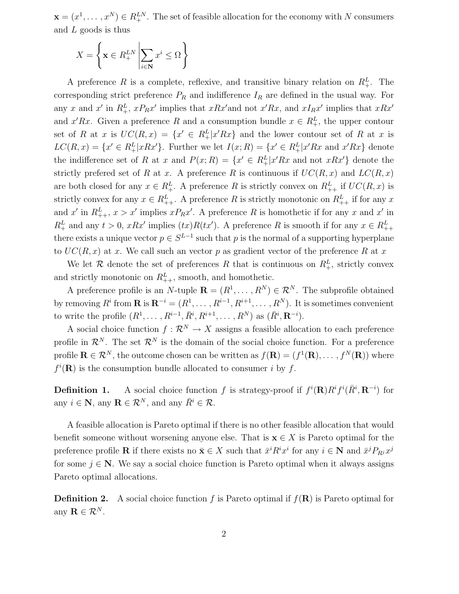$\mathbf{x} = (x^1, \dots, x^N) \in R_+^{LN}$ . The set of feasible allocation for the economy with N consumers and L goods is thus

$$
X = \left\{ \mathbf{x} \in R_+^{LN} \left| \sum_{i \in \mathbf{N}} x^i \leq \Omega \right. \right\}
$$

A preference R is a complete, reflexive, and transitive binary relation on  $R_+^L$ . The corresponding strict preference  $P_R$  and indifference  $I_R$  are defined in the usual way. For any x and x' in  $R_+^L$ ,  $xP_Rx'$  implies that  $xRx'$  and not  $x'Rx$ , and  $xI_Rx'$  implies that  $xRx'$ and  $x'Rx$ . Given a preference R and a consumption bundle  $x \in R_+^L$ , the upper contour set of R at x is  $UC(R, x) = \{x' \in R_+^L | x'Rx\}$  and the lower contour set of R at x is  $LC(R, x) = \{x' \in R_+^L | xRx'\}$ . Further we let  $I(x; R) = \{x' \in R_+^L | x'Rx \text{ and } x'Rx\}$  denote the indifference set of R at x and  $P(x;R) = \{x' \in R_+^L | x'Rx \text{ and not } xRx'\}$  denote the strictly prefered set of R at x. A preference R is continuous if  $UC(R, x)$  and  $LC(R, x)$ are both closed for any  $x \in R_+^L$ . A preference R is strictly convex on  $R_{++}^L$  if  $UC(R, x)$  is strictly convex for any  $x \in R_{++}^L$ . A preference R is strictly monotonic on  $R_{++}^L$  if for any x and x' in  $R_{++}^L$ ,  $x > x'$  implies  $xP_Rx'$ . A preference R is homothetic if for any x and x' in  $R_+^L$  and any  $t > 0$ ,  $xRx'$  implies  $(tx)R(tx')$ . A preference R is smooth if for any  $x \in R_{++}^L$ there exists a unique vector  $p \in S^{L-1}$  such that p is the normal of a supporting hyperplane to  $UC(R, x)$  at x. We call such an vector p as gradient vector of the preference R at x

We let R denote the set of preferences R that is continuous on  $R_{+}^L$ , strictly convex and strictly monotonic on  $R_{++}^L$ , smooth, and homothetic.

A preference profile is an N-tuple  $\mathbf{R} = (R^1, \dots, R^N) \in \mathcal{R}^N$ . The subprofile obtained by removing  $R^i$  from  $\mathbf{R}$  is  $\mathbf{R}^{-i} = (R^1, \ldots, R^{i-1}, R^{i+1}, \ldots, R^N)$ . It is sometimes convenient to write the profile  $(R^1, \ldots, R^{i-1}, \bar{R}^i, R^{i+1}, \ldots, R^N)$  as  $(\bar{R}^i, \mathbf{R}^{-i}).$ 

A social choice function  $f: \mathcal{R}^N \to X$  assigns a feasible allocation to each preference profile in  $\mathcal{R}^N$ . The set  $\mathcal{R}^N$  is the domain of the social choice function. For a preference profile  $\mathbf{R} \in \mathcal{R}^N$ , the outcome chosen can be written as  $f(\mathbf{R})=(f^1(\mathbf{R}),\ldots,f^N(\mathbf{R}))$  where  $f^i(\mathbf{R})$  is the consumption bundle allocated to consumer i by f.

**Definition 1.** A social choice function f is strategy-proof if  $f^{i}(\mathbf{R})R^{i}f^{i}(\bar{R}^{i},\mathbf{R}^{-i})$  for any  $i \in \mathbf{N}$ , any  $\mathbf{R} \in \mathcal{R}^N$ , and any  $\bar{R}^i \in \mathcal{R}$ .

A feasible allocation is Pareto optimal if there is no other feasible allocation that would benefit someone without worsening anyone else. That is  $\mathbf{x} \in X$  is Pareto optimal for the preference profile **R** if there exists no  $\bar{\mathbf{x}} \in X$  such that  $\bar{x}^i R^i x^i$  for any  $i \in \mathbb{N}$  and  $\bar{x}^j P_{R^j} x^j$ for some  $j \in \mathbb{N}$ . We say a social choice function is Pareto optimal when it always assigns Pareto optimal allocations.

**Definition 2.** A social choice function f is Pareto optimal if  $f(\mathbf{R})$  is Pareto optimal for any  $\mathbf{R} \in \mathcal{R}^N$ .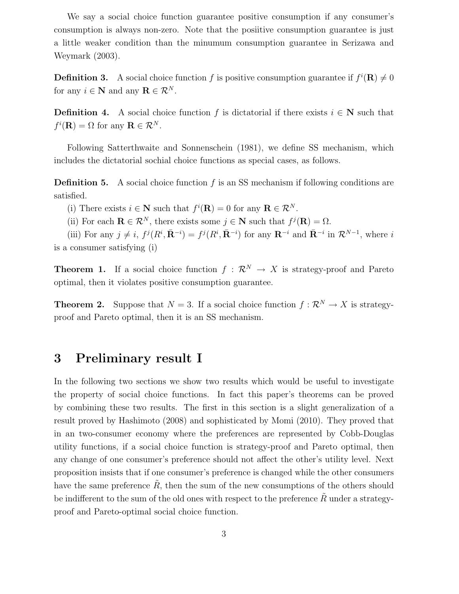We say a social choice function guarantee positive consumption if any consumer's consumption is always non-zero. Note that the posiitive consumption guarantee is just a little weaker condition than the minumum consumption guarantee in Serizawa and Weymark (2003).

**Definition 3.** A social choice function f is positive consumption guarantee if  $f^{i}(\mathbf{R}) \neq 0$ for any  $i \in \mathbb{N}$  and any  $\mathbf{R} \in \mathcal{R}^{N}$ .

**Definition 4.** A social choice function f is dictatorial if there exists  $i \in \mathbb{N}$  such that  $f^i(\mathbf{R}) = \Omega$  for any  $\mathbf{R} \in \mathcal{R}^N$ .

Following Satterthwaite and Sonnenschein (1981), we define SS mechanism, which includes the dictatorial sochial choice functions as special cases, as follows.

**Definition 5.** A social choice function f is an SS mechanism if following conditions are satisfied.

(i) There exists  $i \in \mathbb{N}$  such that  $f^{i}(\mathbf{R}) = 0$  for any  $\mathbf{R} \in \mathcal{R}^{N}$ .

(ii) For each  $\mathbf{R} \in \mathcal{R}^N$ , there exists some  $j \in \mathbf{N}$  such that  $f^j(\mathbf{R}) = \Omega$ .

(iii) For any  $j \neq i$ ,  $f^{j}(R^{i}, \bar{R}^{-i}) = f^{j}(R^{i}, \bar{R}^{-i})$  for any  $R^{-i}$  and  $\bar{R}^{-i}$  in  $\mathcal{R}^{N-1}$ , where i is a consumer satisfying (i)

**Theorem 1.** If a social choice function  $f : \mathbb{R}^N \to X$  is strategy-proof and Pareto optimal, then it violates positive consumption guarantee.

**Theorem 2.** Suppose that  $N = 3$ . If a social choice function  $f : \mathcal{R}^N \to X$  is strategyproof and Pareto optimal, then it is an SS mechanism.

## **3 Preliminary result I**

In the following two sections we show two results which would be useful to investigate the property of social choice functions. In fact this paper's theorems can be proved by combining these two results. The first in this section is a slight generalization of a result proved by Hashimoto (2008) and sophisticated by Momi (2010). They proved that in an two-consumer economy where the preferences are represented by Cobb-Douglas utility functions, if a social choice function is strategy-proof and Pareto optimal, then any change of one consumer's preference should not affect the other's utility level. Next proposition insists that if one consumer's preference is changed while the other consumers have the same preference  $\tilde{R}$ , then the sum of the new consumptions of the others should be indifferent to the sum of the old ones with respect to the preference  $\tilde{R}$  under a strategyproof and Pareto-optimal social choice function.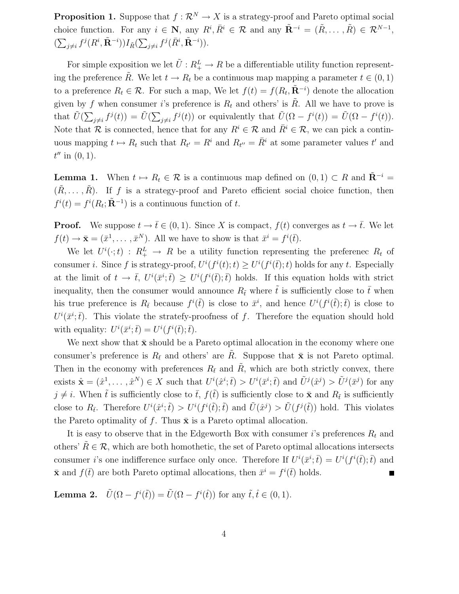**Proposition 1.** Suppose that  $f : \mathbb{R}^N \to X$  is a strategy-proof and Pareto optimal social choice function. For any  $i \in \mathbb{N}$ , any  $R^i, \overline{R}^i \in \mathcal{R}$  and any  $\tilde{\mathbf{R}}^{-i} = (\tilde{R}, \dots, \tilde{R}) \in \mathcal{R}^{N-1}$ ,  $(\sum_{j\neq i} f^j(R^i,\tilde{\mathbf{R}}^{-i}))I_{\tilde{R}}(\sum_{j\neq i} f^j(\bar{R}^i,\tilde{\mathbf{R}}^{-i})).$ 

For simple exposition we let  $\tilde{U}: R_+^L \to R$  be a differentiable utility function representing the preference  $\tilde{R}$ . We let  $t \to R_t$  be a continuous map mapping a parameter  $t \in (0, 1)$ to a preference  $R_t \in \mathcal{R}$ . For such a map, We let  $f(t) = f(R_t, \tilde{\mathbf{R}}^{-i})$  denote the allocation given by f when consumer i's preference is  $R_t$  and others' is  $\tilde{R}$ . All we have to prove is that  $\tilde{U}(\sum_{j\neq i} f^j(t)) = \tilde{U}(\sum_{j\neq i} f^j(t))$  or equivalently that  $\tilde{U}(\Omega - f^i(t)) = \tilde{U}(\Omega - f^i(t)).$ Note that R is connected, hence that for any  $R^i \in \mathcal{R}$  and  $\bar{R}^i \in \mathcal{R}$ , we can pick a continuous mapping  $t \mapsto R_t$  such that  $R_{t'} = R^i$  and  $R_{t''} = \overline{R}^i$  at some parameter values  $t'$  and  $t''$  in  $(0, 1)$ .

**Lemma 1.** When  $t \mapsto R_t \in \mathcal{R}$  is a continuous map defined on  $(0, 1) \subset R$  and  $\tilde{\mathbf{R}}^{-i} =$  $(\tilde{R}, \ldots, \tilde{R})$ . If f is a strategy-proof and Pareto efficient social choice function, then  $f^{i}(t) = f^{i}(R_{t}; \tilde{\mathbf{R}}^{-1})$  is a continuous function of t.

**Proof.** We suppose  $t \to \bar{t} \in (0, 1)$ . Since X is compact,  $f(t)$  converges as  $t \to \bar{t}$ . We let  $f(t) \to \bar{\mathbf{x}} = (\bar{x}^1, \dots, \bar{x}^N)$ . All we have to show is that  $\bar{x}^i = f^i(\bar{t})$ .

We let  $U^i(\cdot;t): R_+^L \to R$  be a utility function representing the preference  $R_t$  of consumer *i*. Since f is strategy-proof,  $U^{i}(f^{i}(t);t) \geq U^{i}(f^{i}(\bar{t});t)$  holds for any t. Especially at the limit of  $t \to \bar{t}$ ,  $U^i(\bar{x}^i; \bar{t}) \geq U^i(f^i(\bar{t}); \bar{t})$  holds. If this equation holds with strict inequality, then the consumer would announce  $R_{\tilde{t}}$  where  $\tilde{t}$  is sufficiently close to  $\bar{t}$  when his true preference is  $R_{\bar{t}}$  because  $f^i(\tilde{t})$  is close to  $\bar{x}^i$ , and hence  $U^i(f^i(\tilde{t});\bar{t})$  is close to  $U^{i}(\bar{x}^{i};\bar{t})$ . This violate the stratefy-proofness of f. Therefore the equation should hold with equality:  $U^i(\bar{x}^i; \bar{t}) = U^i(f^i(\bar{t}); \bar{t}).$ 

We next show that  $\bar{x}$  should be a Pareto optimal allocation in the economy where one consumer's preference is  $R_{\bar{t}}$  and others' are  $\tilde{R}$ . Suppose that  $\bar{\mathbf{x}}$  is not Pareto optimal. Then in the economy with preferences  $R_{\bar{t}}$  and  $\tilde{R}$ , which are both strictly convex, there exists  $\hat{\mathbf{x}} = (\hat{x}^1, \dots, \hat{x}^N) \in X$  such that  $U^i(\hat{x}^i; \bar{t}) > U^i(\bar{x}^i; \bar{t})$  and  $\tilde{U}^j(\hat{x}^j) > \tilde{U}^j(\bar{x}^j)$  for any  $j \neq i$ . When  $\tilde{t}$  is sufficiently close to  $\bar{t}$ ,  $f(\tilde{t})$  is sufficiently close to  $\bar{\mathbf{x}}$  and  $R_{\tilde{t}}$  is sufficiently close to  $R_{\bar{t}}$ . Therefore  $U^i(\hat{x}^i; \tilde{t}) > U^i(f^i(\tilde{t}); \tilde{t})$  and  $\tilde{U}(\hat{x}^j) > \tilde{U}(f^j(\tilde{t}))$  hold. This violates the Pareto optimality of f. Thus  $\bar{x}$  is a Pareto optimal allocation.

It is easy to observe that in the Edgeworth Box with consumer i's preferences  $R_t$  and others'  $\tilde{R} \in \mathcal{R}$ , which are both homothetic, the set of Pareto optimal allocations intersects consumer *i*'s one indifference surface only once. Therefore If  $U^i(\bar{x}^i; \bar{t}) = U^i(f^i(\bar{t}); \bar{t})$  and  $\bar{\mathbf{x}}$  and  $f(\bar{t})$  are both Pareto optimal allocations, then  $\bar{x}^i = f^i(\bar{t})$  holds.

**Lemma 2.**  $\tilde{U}(\Omega - f^i(\tilde{t})) = \tilde{U}(\Omega - f^i(\hat{t}))$  for any  $\tilde{t}, \hat{t} \in (0, 1)$ .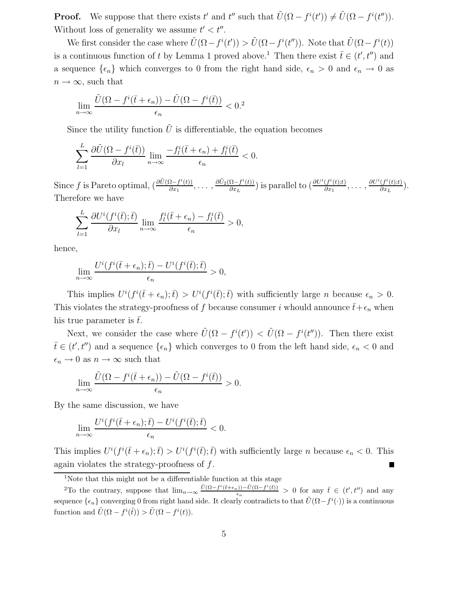**Proof.** We suppose that there exists t' and t'' such that  $\tilde{U}(\Omega - f^{i}(t')) \neq \tilde{U}(\Omega - f^{i}(t''))$ . Without loss of generality we assume  $t' < t''$ .

We first consider the case where  $\tilde{U}(\Omega - f^i(t')) > \tilde{U}(\Omega - f^i(t'))$ . Note that  $\tilde{U}(\Omega - f^i(t))$ is a continuous function of t by Lemma 1 proved above.<sup>1</sup> Then there exist  $\bar{t} \in (t', t'')$  and a sequence  $\{\epsilon_n\}$  which converges to 0 from the right hand side,  $\epsilon_n > 0$  and  $\epsilon_n \to 0$  as  $n \to \infty$ , such that

$$
\lim_{n \to \infty} \frac{\tilde{U}(\Omega - f^i(\bar{t} + \epsilon_n)) - \tilde{U}(\Omega - f^i(\bar{t}))}{\epsilon_n} < 0.2
$$

Since the utility function  $\tilde{U}$  is differentiable, the equation becomes

$$
\sum_{l=1}^{L} \frac{\partial \tilde{U}(\Omega - f^i(\bar{t}))}{\partial x_l} \lim_{n \to \infty} \frac{-f^i_l(\bar{t} + \epsilon_n) + f^i_l(\bar{t})}{\epsilon_n} < 0.
$$

Since f is Pareto optimal,  $\left(\frac{\partial \tilde{U}(\Omega - f^i(t))}{\partial x_1}, \ldots, \frac{\partial \tilde{U}_2(\Omega - f^i(t))}{\partial x_L}\right)$  is parallel to  $\left(\frac{\partial U^i(f^i(t);t)}{\partial x_1}, \ldots, \frac{\partial U^i(f^i(t);t)}{\partial x_L}\right)$ . Therefore we have

$$
\sum_{l=1}^{L} \frac{\partial U^i(f^i(\bar{t});\bar{t})}{\partial x_l} \lim_{n \to \infty} \frac{f^i_l(\bar{t} + \epsilon_n) - f^i_l(\bar{t})}{\epsilon_n} > 0,
$$

hence,

$$
\lim_{n \to \infty} \frac{U^i(f^i(\bar{t} + \epsilon_n); \bar{t}) - U^i(f^i(\bar{t}); \bar{t})}{\epsilon_n} > 0,
$$

This implies  $U^{i}(f^{i}(\bar{t}+\epsilon_{n});\bar{t}) > U^{i}(f^{i}(\bar{t});\bar{t})$  with sufficiently large *n* because  $\epsilon_{n} > 0$ . This violates the strategy-proofness of f because consumer i whould announce  $\bar{t} + \epsilon_n$  when his true parameter is  $\bar{t}$ .

Next, we consider the case where  $\tilde{U}(\Omega - f^{i}(t')) < \tilde{U}(\Omega - f^{i}(t''))$ . Then there exist  $\bar{t} \in (t', t'')$  and a sequence  $\{\epsilon_n\}$  which converges to 0 from the left hand side,  $\epsilon_n < 0$  and  $\epsilon_n \to 0$  as  $n \to \infty$  such that

$$
\lim_{n \to \infty} \frac{\tilde{U}(\Omega - f^i(\bar{t} + \epsilon_n)) - \tilde{U}(\Omega - f^i(\bar{t}))}{\epsilon_n} > 0.
$$

By the same discussion, we have

$$
\lim_{n \to \infty} \frac{U^i(f^i(\bar{t} + \epsilon_n); \bar{t}) - U^i(f^i(\bar{t}); \bar{t})}{\epsilon_n} < 0.
$$

This implies  $U^{i}(f^{i}(\bar{t}+\epsilon_{n});\bar{t}) > U^{i}(f^{i}(\bar{t});\bar{t})$  with sufficiently large *n* because  $\epsilon_{n} < 0$ . This again violates the strategy-proofness of f.

<sup>&</sup>lt;sup>1</sup>Note that this might not be a differentiable function at this stage

<sup>&</sup>lt;sup>2</sup>To the contrary, suppose that  $\lim_{n\to\infty} \frac{\tilde{U}(\Omega - f^i(\bar{t} + \epsilon_n)) - \tilde{U}(\Omega - f^i(\bar{t}))}{\epsilon_n}$  $\frac{\overline{h}(t)}{\epsilon_n}$  = 0 for any  $\overline{t} \in (t', t'')$  and any sequence  $\{\epsilon_n\}$  converging 0 from right hand side. It clearly contradicts to that  $\tilde{U}(\Omega - f^i(\cdot))$  is a continuous function and  $\tilde{U}(\Omega - f^i(\tilde{t})) > \tilde{U}(\Omega - f^i(t)).$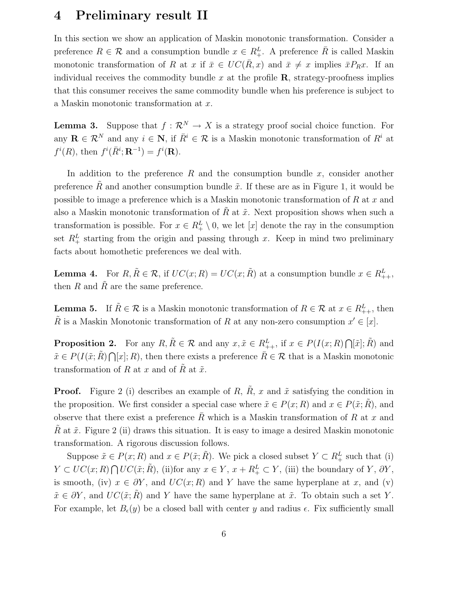# **4 Preliminary result II**

In this section we show an application of Maskin monotonic transformation. Consider a preference  $R \in \mathcal{R}$  and a consumption bundle  $x \in R_+^L$ . A preference  $\overline{R}$  is called Maskin monotonic transformation of R at x if  $\bar{x} \in UC(\bar{R}, x)$  and  $\bar{x} \neq x$  implies  $\bar{x}P_Rx$ . If an individual receives the commodity bundle  $x$  at the profile **R**, strategy-proofness implies that this consumer receives the same commodity bundle when his preference is subject to a Maskin monotonic transformation at x.

**Lemma 3.** Suppose that  $f : \mathbb{R}^N \to X$  is a strategy proof social choice function. For any  $\mathbf{R} \in \mathcal{R}^N$  and any  $i \in \mathbf{N}$ , if  $\bar{R}^i \in \mathcal{R}$  is a Maskin monotonic transformation of  $R^i$  at  $f^{i}(R)$ , then  $f^{i}(\bar{R}^{i};{\bf R}^{-1}) = f^{i}({\bf R})$ .

In addition to the preference R and the consumption bundle  $x$ , consider another preference R and another consumption bundle  $\tilde{x}$ . If these are as in Figure 1, it would be possible to image a preference which is a Maskin monotonic transformation of R at x and also a Maskin monotonic transformation of R at  $\tilde{x}$ . Next proposition shows when such a transformation is possible. For  $x \in R_+^L \setminus 0$ , we let [x] denote the ray in the consumption set  $R_+^L$  starting from the origin and passing through x. Keep in mind two preliminary facts about homothetic preferences we deal with.

**Lemma 4.** For  $R, \tilde{R} \in \mathcal{R}$ , if  $UC(x; R) = UC(x; \tilde{R})$  at a consumption bundle  $x \in R_{++}^L$ , then R and  $\tilde{R}$  are the same preference.

**Lemma 5.** If  $\tilde{R} \in \mathcal{R}$  is a Maskin monotonic transformation of  $R \in \mathcal{R}$  at  $x \in R_{++}^L$ , then  $\tilde{R}$  is a Maskin Monotonic transformation of R at any non-zero consumption  $x' \in [x]$ .

**Proposition 2.** For any  $R, \tilde{R} \in \mathcal{R}$  and any  $x, \tilde{x} \in R_{++}^L$ , if  $x \in P(I(x;R) \cap [\tilde{x}]; \tilde{R})$  and  $\tilde{x} \in P(I(\tilde{x}; \tilde{R}) \cap [x]; R)$ , then there exists a preference  $\bar{R} \in \mathcal{R}$  that is a Maskin monotonic transformation of R at x and of  $\tilde{R}$  at  $\tilde{x}$ .

**Proof.** Figure 2 (i) describes an example of R,  $\tilde{R}$ , x and  $\tilde{x}$  satisfying the condition in the proposition. We first consider a special case where  $\tilde{x} \in P(x; R)$  and  $x \in P(\tilde{x}; \tilde{R})$ , and observe that there exist a preference  $\overline{R}$  which is a Maskin transformation of  $R$  at x and  $\overline{R}$  at  $\tilde{x}$ . Figure 2 (ii) draws this situation. It is easy to image a desired Maskin monotonic transformation. A rigorous discussion follows.

Suppose  $\tilde{x} \in P(x; R)$  and  $x \in P(\tilde{x}; \tilde{R})$ . We pick a closed subset  $Y \subset R_+^L$  such that (i)  $Y \subset UC(x;R) \bigcap UC(\tilde{x};\tilde{R})$ , (ii)for any  $x \in Y$ ,  $x + R_+^L \subset Y$ , (iii) the boundary of Y,  $\partial Y$ , is smooth, (iv)  $x \in \partial Y$ , and  $UC(x; R)$  and Y have the same hyperplane at x, and (v)  $\tilde{x} \in \partial Y$ , and  $UC(\tilde{x}; \tilde{R})$  and Y have the same hyperplane at  $\tilde{x}$ . To obtain such a set Y. For example, let  $B_{\epsilon}(y)$  be a closed ball with center y and radius  $\epsilon$ . Fix sufficiently small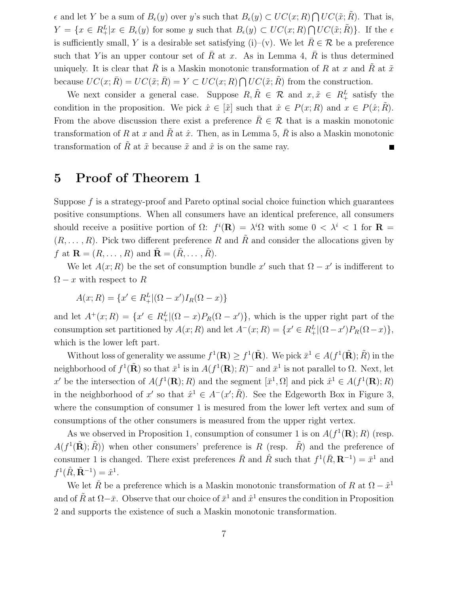$\epsilon$  and let Y be a sum of  $B_{\epsilon}(y)$  over y's such that  $B_{\epsilon}(y) \subset UC(x;R) \cap UC(\tilde{x};\tilde{R})$ . That is,  $Y = \{x \in R_+^L | x \in B_\epsilon(y) \text{ for some } y \text{ such that } B_\epsilon(y) \subset UC(x;R) \cap UC(\tilde{x};\tilde{R})\}.$  If the  $\epsilon$ is sufficiently small, Y is a desirable set satisfying (i)–(v). We let  $\bar{R} \in \mathcal{R}$  be a preference such that Y is an upper contour set of  $\bar{R}$  at x. As in Lemma 4,  $\bar{R}$  is thus determined uniquely. It is clear that  $\bar{R}$  is a Maskin monotonic transformation of R at x and R at  $\tilde{x}$ because  $UC(x;\bar{R}) = UC(\tilde{x};\bar{R}) = Y \subset UC(x;R) \cap UC(\tilde{x};\tilde{R})$  from the construction.

We next consider a general case. Suppose  $R, \tilde{R} \in \mathcal{R}$  and  $x, \tilde{x} \in R_+^L$  satisfy the condition in the proposition. We pick  $\hat{x} \in [\tilde{x}]$  such that  $\hat{x} \in P(x;R)$  and  $x \in P(\hat{x};\tilde{R})$ . From the above discussion there exist a preference  $R \in \mathcal{R}$  that is a maskin monotonic transformation of R at x and  $\tilde{R}$  at  $\hat{x}$ . Then, as in Lemma 5,  $\bar{R}$  is also a Maskin monotonic transformation of  $\tilde{R}$  at  $\tilde{x}$  because  $\tilde{x}$  and  $\hat{x}$  is on the same ray.

## **5 Proof of Theorem 1**

Suppose f is a strategy-proof and Pareto optinal social choice fuinction which guarantees positive consumptions. When all consumers have an identical preference, all consumers should receive a positive portion of  $\Omega$ :  $f^{i}(\mathbf{R}) = \lambda^{i}\Omega$  with some  $0 < \lambda^{i} < 1$  for  $\mathbf{R} =$  $(R, \ldots, R)$ . Pick two different preference R and  $\tilde{R}$  and consider the allocations given by f at  $\mathbf{R} = (R, \dots, R)$  and  $\tilde{\mathbf{R}} = (\tilde{R}, \dots, \tilde{R})$ .

We let  $A(x; R)$  be the set of consumption bundle x' such that  $\Omega - x'$  is indifferent to  $\Omega - x$  with respect to R

$$
A(x;R) = \{x' \in R_+^L | (\Omega - x')I_R(\Omega - x) \}
$$

and let  $A^+(x;R) = \{x' \in R_+^L | (\Omega - x)P_R(\Omega - x')\},\$  which is the upper right part of the consumption set partitioned by  $A(x; R)$  and let  $A^-(x; R) = \{x' \in R_+^L | (\Omega - x')P_R(\Omega - x) \},$ which is the lower left part.

Without loss of generality we assume  $f^1(\mathbf{R}) \ge f^1(\tilde{\mathbf{R}})$ . We pick  $\bar{x}^1 \in A(f^1(\tilde{\mathbf{R}}); \tilde{R})$  in the neighborhood of  $f^1(\tilde{\mathbf{R}})$  so that  $\bar{x}^1$  is in  $A(f^1(\mathbf{R}); R)^-$  and  $\bar{x}^1$  is not parallel to  $\Omega$ . Next, let x' be the intersection of  $A(f^{1}(\mathbf{R}); R)$  and the segment  $[\bar{x}^{1}, \Omega]$  and pick  $\hat{x}^{1} \in A(f^{1}(\mathbf{R}); R)$ in the neighborhood of x' so that  $\hat{x}^1 \in A^{-}(x'; \tilde{R})$ . See the Edgeworth Box in Figure 3, where the consumption of consumer 1 is mesured from the lower left vertex and sum of consumptions of the other consumers is measured from the upper right vertex.

As we observed in Proposition 1, consumption of consumer 1 is on  $A(f^1(\mathbf{R}); R)$  (resp.  $A(f^1(\tilde{\mathbf{R}}); \tilde{R})$  when other consumers' preference is R (resp.  $\tilde{R}$ ) and the preference of consumer 1 is changed. There exist preferences  $\bar{R}$  and  $\hat{R}$  such that  $f^1(\bar{R}, \mathbf{R}^{-1})=\bar{x}^1$  and  $f^1(\hat{R}, \tilde{\mathbf{R}}^{-1})=\hat{x}^1.$ 

We let  $\check{R}$  be a preference which is a Maskin monotonic transformation of R at  $\Omega - \hat{x}^1$ and of  $\tilde{R}$  at  $\Omega-\bar{x}$ . Observe that our choice of  $\bar{x}^1$  and  $\hat{x}^1$  ensures the condition in Proposition 2 and supports the existence of such a Maskin monotonic transformation.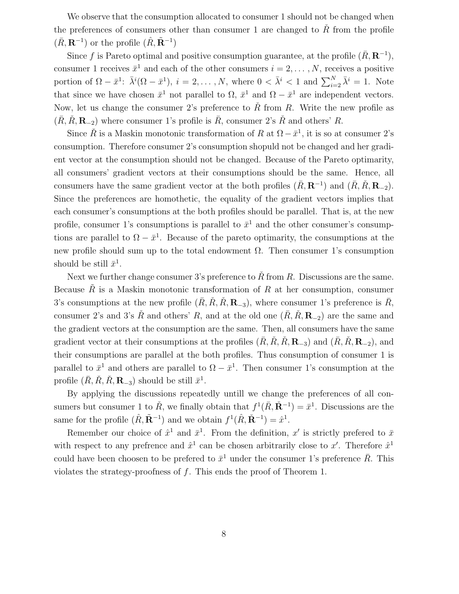We observe that the consumption allocated to consumer 1 should not be changed when the preferences of consumers other than consumer 1 are changed to  $\hat{R}$  from the profile  $(\bar{R}, \mathbf{R}^{-1})$  or the profile  $(\hat{R}, \tilde{\mathbf{R}}^{-1})$ 

Since f is Pareto optimal and positive consumption guarantee, at the profile  $(\bar{R}, \mathbf{R}^{-1})$ , consumer 1 receives  $\bar{x}^1$  and each of the other consumers  $i = 2, \ldots, N$ , receives a positive portion of  $\Omega - \bar{x}^1$ :  $\bar{\lambda}^i(\Omega - \bar{x}^1)$ ,  $i = 2, ..., N$ , where  $0 < \bar{\lambda}^i < 1$  and  $\sum_{i=2}^N \bar{\lambda}^i = 1$ . Note that since we have chosen  $\bar{x}^1$  not parallel to  $\Omega$ ,  $\bar{x}^1$  and  $\Omega - \bar{x}^1$  are independent vectors. Now, let us change the consumer 2's preference to  $\check{R}$  from R. Write the new profile as  $(\bar{R}, \dot{R}, \mathbf{R}_{-2})$  where consumer 1's profile is  $\bar{R}$ , consumer 2's  $\check{R}$  and others' R.

Since  $\check{R}$  is a Maskin monotonic transformation of R at  $\Omega - \bar{x}^1$ , it is so at consumer 2's consumption. Therefore consumer 2's consumption shopuld not be changed and her gradient vector at the consumption should not be changed. Because of the Pareto optimarity, all consumers' gradient vectors at their consumptions should be the same. Hence, all consumers have the same gradient vector at the both profiles  $(\bar{R}, \mathbf{R}^{-1})$  and  $(\bar{R}, \check{R}, \mathbf{R}_{-2})$ . Since the preferences are homothetic, the equality of the gradient vectors implies that each consumer's consumptions at the both profiles should be parallel. That is, at the new profile, consumer 1's consumptions is parallel to  $\bar{x}^1$  and the other consumer's consumptions are parallel to  $\Omega - \bar{x}^1$ . Because of the pareto optimarity, the consumptions at the new profile should sum up to the total endowment  $\Omega$ . Then consumer 1's consumption should be still  $\bar{x}^1$ .

Next we further change consumer 3's preference to  $\check{R}$  from R. Discussions are the same. Because  $\tilde{R}$  is a Maskin monotonic transformation of R at her consumption, consumer 3's consumptions at the new profile  $(\bar{R}, \check{R}, \check{R}, \mathbf{R}_{-3})$ , where consumer 1's preference is  $\bar{R}$ , consumer 2's and 3's  $\tilde{R}$  and others' R, and at the old one  $(\bar{R}, \tilde{R}, \mathbf{R}_{-2})$  are the same and the gradient vectors at the consumption are the same. Then, all consumers have the same gradient vector at their consumptions at the profiles  $(\bar{R}, \tilde{R}, \tilde{R}, \mathbf{R}_{-3})$  and  $(\bar{R}, \tilde{R}, \mathbf{R}_{-2})$ , and their consumptions are parallel at the both profiles. Thus consumption of consumer 1 is parallel to  $\bar{x}^1$  and others are parallel to  $\Omega - \bar{x}^1$ . Then consumer 1's consumption at the profile  $(\bar{R}, \check{R}, \check{R}, \mathbf{R}_{-3})$  should be still  $\bar{x}^1$ .

By applying the discussions repeatedly untill we change the preferences of all consumers but consumer 1 to  $\check{R}$ , we finally obtain that  $f^1(\bar{R}, \check{R}^{-1})=\bar{x}^1$ . Discussions are the same for the profile  $(\hat{R}, \tilde{\mathbf{R}}^{-1})$  and we obtain  $f^1(\hat{R}, \tilde{\mathbf{R}}^{-1}) = \hat{x}^1$ .

Remember our choice of  $\hat{x}^1$  and  $\bar{x}^1$ . From the definition, x' is strictly prefered to  $\bar{x}$ with respect to any prefrence and  $\hat{x}^1$  can be chosen arbitrarily close to x'. Therefore  $\hat{x}^1$ could have been choosen to be prefered to  $\bar{x}^1$  under the consumer 1's preference  $\bar{R}$ . This violates the strategy-proofness of  $f$ . This ends the proof of Theorem 1.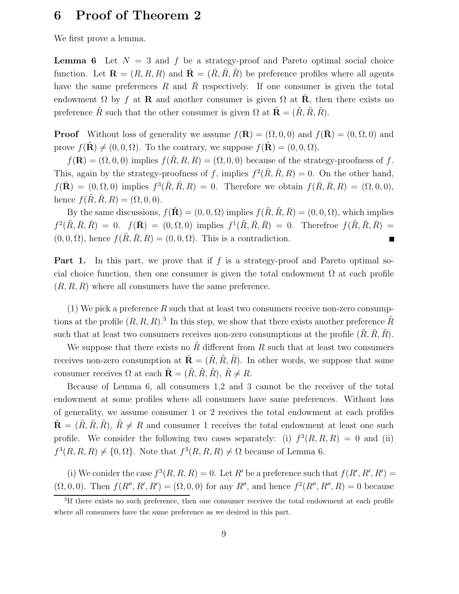# **6 Proof of Theorem 2**

We first prove a lemma.

**Lemma 6** Let  $N = 3$  and f be a strategy-proof and Pareto optimal social choice function. Let  $\mathbf{R} = (R, R, R)$  and  $\mathbf{R} = (R, R, R)$  be preference profiles where all agents have the same preferences R and  $\overline{R}$  respectively. If one consumer is given the total endowment  $\Omega$  by f at **R** and another consumer is given  $\Omega$  at **R**, then there exists no preference  $\tilde{R}$  such that the other consumer is given  $\Omega$  at  $\tilde{\mathbf{R}} = (\tilde{R}, \tilde{R}, \tilde{R})$ .

**Proof** Without loss of generality we assume  $f(\mathbf{R}) = (\Omega, 0, 0)$  and  $f(\mathbf{R}) = (0, \Omega, 0)$  and prove  $f(\mathbf{R}) \neq (0, 0, \Omega)$ . To the contrary, we suppose  $f(\mathbf{R}) = (0, 0, \Omega)$ .

 $f(\mathbf{R}) = (\Omega, 0, 0)$  implies  $f(\bar{R}, R, R) = (\Omega, 0, 0)$  because of the strategy-proofness of f. This, again by the strategy-proofness of f, implies  $f^2(\overline{R}, \overline{R}, R) = 0$ . On the other hand,  $f(\mathbf{\bar{R}}) = (0, \Omega, 0)$  implies  $f^3(\bar{R}, \bar{R}, R) = 0$ . Therefore we obtain  $f(\bar{R}, \bar{R}, R) = (\Omega, 0, 0),$ hence  $f(R, \bar{R}, R) = (\Omega, 0, 0).$ 

By the same discussions,  $f(\mathbf{\tilde{R}}) = (0, 0, \Omega)$  implies  $f(\tilde{R}, \tilde{R}, \bar{R}) = (0, 0, \Omega)$ , which implies  $f^{2}(\tilde{R}, \bar{R}, \bar{R}) = 0.$   $f(\bar{\mathbf{R}}) = (0, \Omega, 0)$  implies  $f^{1}(\tilde{R}, \bar{R}, \bar{R}) = 0.$  Therefroe  $f(\tilde{R}, \bar{R}, \bar{R}) = 0.$  $(0, 0, \Omega)$ , hence  $f(\tilde{R}, \bar{R}, R) = (0, 0, \Omega)$ . This is a contradiction.

**Part 1.** In this part, we prove that if  $f$  is a strategy-proof and Pareto optimal social choice function, then one consumer is given the total endowment  $\Omega$  at each profile  $(R, R, R)$  where all consumers have the same preference.

(1) We pick a preference  $R$  such that at least two consumers receive non-zero consumptions at the profile  $(R, R, R)$ .<sup>3</sup> In this step, we show that there exists another preference  $\tilde{R}$ such that at least two consumers receives non-zero consumptions at the profile  $(\tilde{R}, \tilde{R}, \tilde{R})$ .

We suppose that there exists no  $\tilde{R}$  different from R such that at least two consumers receives non-zero consumption at  $\tilde{\mathbf{R}} = (\tilde{R}, \tilde{R}, \tilde{R})$ . In other words, we suppose that some consumer receives  $\Omega$  at each  $\tilde{\mathbf{R}} = (\tilde{R}, \tilde{R}, \tilde{R}), \tilde{R} \neq R$ .

Because of Lemma 6, all consumers 1,2 and 3 cannot be the receiver of the total endowment at some profiles where all consumers have same preferences. Without loss of generality, we assume consumer 1 or 2 receives the total endowment at each profiles  $\tilde{\mathbf{R}} = (\tilde{R}, \tilde{R}, \tilde{R}), \tilde{R} \neq R$  and consumer 1 receives the total endowment at least one such profile. We consider the following two cases separately: (i)  $f^3(R, R, R) = 0$  and (ii)  $f^3(R, R, R) \neq \{0, \Omega\}$ . Note that  $f^3(R, R, R) \neq \Omega$  because of Lemma 6.

(i) We conider the case  $f^3(R, R, R) = 0$ . Let R' be a preference such that  $f(R', R', R') =$  $(\Omega, 0, 0)$ . Then  $f(R'', R', R') = (\Omega, 0, 0)$  for any R'', and hence  $f^2(R'', R'', R) = 0$  because

<sup>&</sup>lt;sup>3</sup>If there exists no such preference, then one consumer receives the total endowment at each profile where all consumers have the same preference as we desired in this part.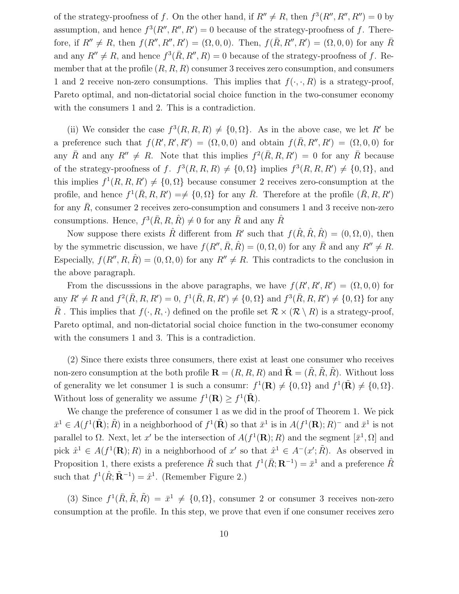of the strategy-proofness of f. On the other hand, if  $R'' \neq R$ , then  $f^3(R'', R'', R'') = 0$  by assumption, and hence  $f^3(R'', R'', R') = 0$  because of the strategy-proofness of f. Therefore, if  $R'' \neq R$ , then  $f(R'', R'', R') = (\Omega, 0, 0)$ . Then,  $f(\bar{R}, R'', R') = (\Omega, 0, 0)$  for any  $\bar{R}$ and any  $R'' \neq R$ , and hence  $f^3(\overline{R}, R'', R) = 0$  because of the strategy-proofness of f. Remember that at the profile  $(R, R, R)$  consumer 3 receives zero consumption, and consumers 1 and 2 receive non-zero consumptions. This implies that  $f(\cdot, \cdot, R)$  is a strategy-proof, Pareto optimal, and non-dictatorial social choice function in the two-consumer economy with the consumers 1 and 2. This is a contradiction.

(ii) We consider the case  $f^3(R, R, R) \neq \{0, \Omega\}$ . As in the above case, we let R' be a preference such that  $f(R', R', R') = (\Omega, 0, 0)$  and obtain  $f(\overline{R}, R'', R') = (\Omega, 0, 0)$  for any  $\bar{R}$  and any  $R'' \neq R$ . Note that this implies  $f^2(\bar{R}, R, R') = 0$  for any  $\bar{R}$  because of the strategy-proofness of f.  $f^3(R, R, R) \neq \{0, \Omega\}$  implies  $f^3(R, R, R') \neq \{0, \Omega\}$ , and this implies  $f^1(R, R, R') \neq \{0, \Omega\}$  because consumer 2 receives zero-consumption at the profile, and hence  $f^1(\overline{R}, R, R') = \neq \{0, \Omega\}$  for any  $\overline{R}$ . Therefore at the profile  $(\overline{R}, R, R')$ for any  $\bar{R}$ , consumer 2 receives zero-consumption and consumers 1 and 3 receive non-zero consumptions. Hence,  $f^3(\overline{R}, R, \hat{R}) \neq 0$  for any  $\overline{R}$  and any  $\hat{R}$ 

Now suppose there exists  $\hat{R}$  different from R' such that  $f(\hat{R}, \hat{R}, \hat{R}) = (0, \Omega, 0)$ , then by the symmetric discussion, we have  $f(R'', \overline{R}, \hat{R}) = (0, \Omega, 0)$  for any  $\overline{R}$  and any  $R'' \neq R$ . Especially,  $f(R'', R, R) = (0, \Omega, 0)$  for any  $R'' \neq R$ . This contradicts to the conclusion in the above paragraph.

From the discussions in the above paragraphs, we have  $f(R', R', R') = (\Omega, 0, 0)$  for any  $R' \neq R$  and  $f^2(\bar{R}, R, R') = 0$ ,  $f^1(\bar{R}, R, R') \neq \{0, \Omega\}$  and  $f^3(\bar{R}, R, R') \neq \{0, \Omega\}$  for any  $\overline{R}$ . This implies that  $f(\cdot, R, \cdot)$  defined on the profile set  $\mathcal{R} \times (\mathcal{R} \setminus R)$  is a strategy-proof, Pareto optimal, and non-dictatorial social choice function in the two-consumer economy with the consumers 1 and 3. This is a contradiction.

(2) Since there exists three consumers, there exist at least one consumer who receives non-zero consumption at the both profile  $\mathbf{R} = (R, R, R)$  and  $\mathbf{R} = (R, R, R)$ . Without loss of generality we let consumer 1 is such a consumr:  $f^1(\mathbf{R}) \neq \{0, \Omega\}$  and  $f^1(\tilde{\mathbf{R}}) \neq \{0, \Omega\}$ . Without loss of generality we assume  $f^1(\mathbf{R}) \geq f^1(\mathbf{R})$ .

We change the preference of consumer 1 as we did in the proof of Theorem 1. We pick  $\bar{x}^1 \in A(f^1(\mathbf{R}); \tilde{R})$  in a neighborhood of  $f^1(\mathbf{R})$  so that  $\bar{x}^1$  is in  $A(f^1(\mathbf{R}); R)^-$  and  $\bar{x}^1$  is not parallel to  $\Omega$ . Next, let x' be the intersection of  $A(f^1(\mathbf{R}); R)$  and the segment  $[\bar{x}^1, \Omega]$  and pick  $\hat{x}^1 \in A(f^1(\mathbf{R}); R)$  in a neighborhood of x' so that  $\hat{x}^1 \in A^-(x'; \tilde{R})$ . As observed in Proposition 1, there exists a preference  $\bar{R}$  such that  $f^1(\bar{R}; \mathbf{R}^{-1})=\bar{x}^1$  and a preference  $\hat{R}$ such that  $f^1(\hat{R}; \tilde{\mathbf{R}}^{-1}) = \hat{x}^1$ . (Remember Figure 2.)

(3) Since  $f^1(\overline{R}, \overline{R}, \overline{R}) = \overline{x}^1 \neq \{0, \Omega\}$ , consumer 2 or consumer 3 receives non-zero consumption at the profile. In this step, we prove that even if one consumer receives zero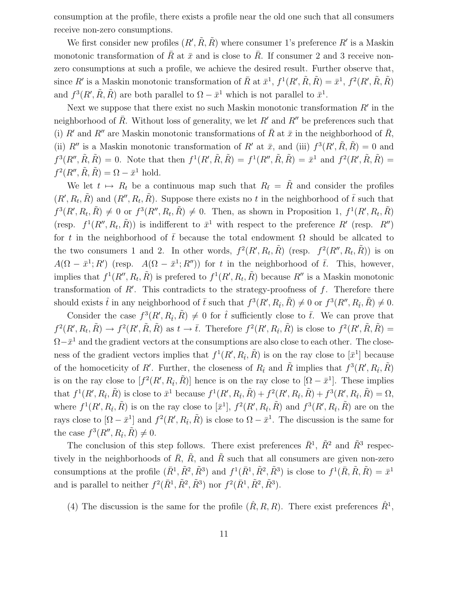consumption at the profile, there exists a profile near the old one such that all consumers receive non-zero consumptions.

We first consider new profiles  $(R', \tilde{R}, \tilde{R})$  where consumer 1's preference  $R'$  is a Maskin monotonic transformation of  $\overline{R}$  at  $\overline{x}$  and is close to  $\overline{R}$ . If consumer 2 and 3 receive nonzero consumptions at such a profile, we achieve the desired result. Further observe that, since R' is a Maskin monotonic transformation of  $\bar{R}$  at  $\bar{x}^1$ ,  $f^1(R', \tilde{R}, \tilde{R}) = \bar{x}^1$ ,  $f^2(R', \tilde{R}, \tilde{R})$ and  $f^3(R', \tilde{R}, \tilde{R})$  are both parallel to  $\Omega - \bar{x}^1$  which is not parallel to  $\bar{x}^1$ .

Next we suppose that there exist no such Maskin monotonic transformation  $R'$  in the neighborhood of  $\overline{R}$ . Without loss of generality, we let  $R'$  and  $R''$  be preferences such that (i) R' and R'' are Maskin monotonic transformations of  $\overline{R}$  at  $\overline{x}$  in the neighborhood of  $\overline{R}$ , (ii) R'' is a Maskin monotonic transformation of R' at  $\bar{x}$ , and (iii)  $f^3(R', \tilde{R}, \tilde{R}) = 0$  and  $f^{3}(R'', \tilde{R}, \tilde{R}) = 0$ . Note that then  $f^{1}(R', \tilde{R}, \tilde{R}) = f^{1}(R'', \tilde{R}, \tilde{R}) = \bar{x}^{1}$  and  $f^{2}(R', \tilde{R}, \tilde{R}) = 0$ .  $f^2(R'', \tilde{R}, \tilde{R}) = \Omega - \bar{x}^1$  hold.

We let  $t \mapsto R_t$  be a continuous map such that  $R_{\bar{t}} = \tilde{R}$  and consider the profiles  $(R', R_t, \tilde{R})$  and  $(R'', R_t, \tilde{R})$ . Suppose there exists no t in the neighborhood of  $\bar{t}$  such that  $f^3(R', R_t, \tilde{R}) \neq 0$  or  $f^3(R'', R_t, \tilde{R}) \neq 0$ . Then, as shown in Proposition 1,  $f^1(R', R_t, \tilde{R})$ (resp.  $f^1(R'', R_t, \tilde{R})$ ) is indifferent to  $\bar{x}^1$  with respect to the preference R' (resp.  $R''$ ) for t in the neighborhood of  $\bar{t}$  because the total endowment  $\Omega$  should be allcated to the two consumers 1 and 2. In other words,  $f^2(R', R_t, \tilde{R})$  (resp.  $f^2(R'', R_t, \tilde{R})$ ) is on  $A(\Omega - \bar{x}^1; R')$  (resp.  $A(\Omega - \bar{x}^1; R'')$ ) for t in the neighborhood of  $\bar{t}$ . This, however, implies that  $f^1(R'', R_t, \tilde{R})$  is prefered to  $f^1(R', R_t, \tilde{R})$  because  $R''$  is a Maskin monotonic transformation of  $R'$ . This contradicts to the strategy-proofness of  $f$ . Therefore there should exists  $\hat{t}$  in any neighborhood of  $\bar{t}$  such that  $f^3(R', R_{\hat{t}}, \tilde{R}) \neq 0$  or  $f^3(R'', R_{\hat{t}}, \tilde{R}) \neq 0$ .

Consider the case  $f^3(R', R_{\hat{t}}, R) \neq 0$  for  $\hat{t}$  sufficiently close to  $\bar{t}$ . We can prove that  $f^2(R', R_t, \tilde{R}) \to f^2(R', \tilde{R}, \tilde{R})$  as  $t \to \bar{t}$ . Therefore  $f^2(R', R_{\hat{t}}, \tilde{R})$  is close to  $f^2(R', \tilde{R}, \tilde{R}) =$  $\Omega-\bar{x}^1$  and the gradient vectors at the consumptions are also close to each other. The closeness of the gradient vectors implies that  $f^1(R', R_{\hat{t}}, \tilde{R})$  is on the ray close to  $[\bar{x}^1]$  because of the homoceticity of R'. Further, the closeness of  $R_t$  and  $\tilde{R}$  implies that  $f^3(R', R_{\tilde{t}}, \tilde{R})$ is on the ray close to  $[f^2(R', R_{\hat{t}}, \tilde{R})]$  hence is on the ray close to  $[\Omega - \bar{x}^1]$ . These implies that  $f^1(R', R_{\hat{t}}, \tilde{R})$  is close to  $\bar{x}^1$  because  $f^1(R', R_{\hat{t}}, \tilde{R}) + f^2(R', R_{\hat{t}}, \tilde{R}) + f^3(R', R_{\hat{t}}, \tilde{R}) = \Omega$ , where  $f^1(R', R_{\hat{t}}, \tilde{R})$  is on the ray close to  $[\bar{x}^1]$ ,  $f^2(R', R_{\hat{t}}, \tilde{R})$  and  $f^3(R', R_{\hat{t}}, \tilde{R})$  are on the rays close to  $[\Omega - \bar{x}^1]$  and  $f^2(R', R_{\hat{t}}, \tilde{R})$  is close to  $\Omega - \bar{x}^1$ . The discussion is the same for the case  $f^3(R'', R_{\hat{t}}, \tilde{R}) \neq 0$ .

The conclusion of this step follows. There exist preferences  $\bar{R}^1$ ,  $\tilde{R}^2$  and  $\tilde{R}^3$  respectively in the neighborhoods of  $\overline{R}$ ,  $\overline{R}$ , and  $\overline{R}$  such that all consumers are given non-zero consumptions at the profile  $(\bar{R}^1, \tilde{R}^2, \tilde{R}^3)$  and  $f^1(\bar{R}^1, \tilde{R}^2, \tilde{R}^3)$  is close to  $f^1(\bar{R}, \tilde{R}, \tilde{R}) = \bar{x}^1$ and is parallel to neither  $f^2(\bar{R}^1, \tilde{R}^2, \tilde{R}^3)$  nor  $f^2(\bar{R}^1, \tilde{R}^2, \tilde{R}^3)$ .

(4) The discussion is the same for the profile  $(\hat{R}, R, R)$ . There exist preferences  $\hat{R}^1$ ,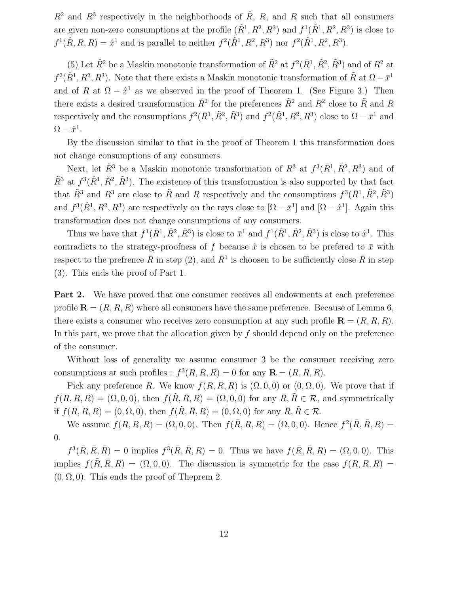$R^2$  and  $R^3$  respectively in the neighborhoods of  $\hat{R}$ , R, and R such that all consumers are given non-zero consumptions at the profile  $(\hat{R}^1, R^2, R^3)$  and  $f^1(\hat{R}^1, R^2, R^3)$  is close to  $f^{1}(\hat{R}, R, R) = \hat{x}^{1}$  and is parallel to neither  $f^{2}(\hat{R}^{1}, R^{2}, R^{3})$  nor  $f^{2}(\hat{R}^{1}, R^{2}, R^{3})$ .

(5) Let  $\check{R}^2$  be a Maskin monotonic transformation of  $\tilde{R}^2$  at  $f^2(\bar{R}^1, \tilde{R}^2, \tilde{R}^3)$  and of  $R^2$  at  $f^2(\hat{R}^1, R^2, R^3)$ . Note that there exists a Maskin monotonic transformation of  $\tilde{R}$  at  $\Omega-\bar{x}^1$ and of R at  $\Omega - \hat{x}^1$  as we observed in the proof of Theorem 1. (See Figure 3.) Then there exists a desired transformation  $\tilde{R}^2$  for the preferences  $\tilde{R}^2$  and  $R^2$  close to  $\tilde{R}$  and R respectively and the consumptions  $f^2(\bar{R}^1, \tilde{R}^2, \tilde{R}^3)$  and  $f^2(\hat{R}^1, R^2, R^3)$  close to  $\Omega - \bar{x}^1$  and  $\Omega - \hat{x}^1$ .

By the discussion similar to that in the proof of Theorem 1 this transformation does not change consumptions of any consumers.

Next, let  $\check{R}^3$  be a Maskin monotonic transformation of  $R^3$  at  $f^3(\bar{R}^1, \check{R}^2, R^3)$  and of  $\tilde{R}^3$  at  $f^3(\hat{R}^1, \check{R}^2, \tilde{R}^3)$ . The existence of this transformation is also supported by that fact that  $\tilde{R}^3$  and  $R^3$  are close to  $\tilde{R}$  and R respectively and the consumptions  $f^3(\bar{R}^1, \tilde{R}^2, \tilde{R}^3)$ and  $f^3(\hat{R}^1, R^2, R^3)$  are respectively on the rays close to  $[\Omega - \bar{x}^1]$  and  $[\Omega - \hat{x}^1]$ . Again this transformation does not change consumptions of any consumers.

Thus we have that  $f^1(\bar{R}^1, \check{R}^2, \check{R}^3)$  is close to  $\bar{x}^1$  and  $f^1(\hat{R}^1, \check{R}^2, \check{R}^3)$  is close to  $\hat{x}^1$ . This contradicts to the strategy-proofness of f because  $\hat{x}$  is chosen to be prefered to  $\bar{x}$  with respect to the prefrence  $\bar{R}$  in step (2), and  $\bar{R}^1$  is choosen to be sufficiently close  $\bar{R}$  in step (3). This ends the proof of Part 1.

**Part 2.** We have proved that one consumer receives all endowments at each preference profile  $\mathbf{R} = (R, R, R)$  where all consumers have the same preference. Because of Lemma 6, there exists a consumer who receives zero consumption at any such profile  $\mathbf{R} = (R, R, R)$ . In this part, we prove that the allocation given by  $f$  should depend only on the preference of the consumer.

Without loss of generality we assume consumer 3 be the consumer receiving zero consumptions at such profiles :  $f^3(R, R, R) = 0$  for any  $\mathbf{R} = (R, R, R)$ .

Pick any preference R. We know  $f(R, R, R)$  is  $(\Omega, 0, 0)$  or  $(0, \Omega, 0)$ . We prove that if  $f(R, R, R) = (\Omega, 0, 0),$  then  $f(R, R, R) = (\Omega, 0, 0)$  for any  $\overline{R}, \widetilde{R} \in \mathcal{R}$ , and symmetrically if  $f(R, R, R) = (0, \Omega, 0)$ , then  $f(\tilde{R}, \bar{R}, R) = (0, \Omega, 0)$  for any  $\bar{R}, \tilde{R} \in \mathcal{R}$ .

We assume  $f(R, R, R) = (\Omega, 0, 0)$ . Then  $f(\bar{R}, R, R) = (\Omega, 0, 0)$ . Hence  $f^2(\bar{R}, \bar{R}, R) =$ 0.

 $f^3(\bar{R}, \bar{R}, \bar{R}) = 0$  implies  $f^3(\bar{R}, \bar{R}, R) = 0$ . Thus we have  $f(\bar{R}, \bar{R}, R) = (\Omega, 0, 0)$ . This implies  $f(R, R, R) = (\Omega, 0, 0)$ . The discussion is symmetric for the case  $f(R, R, R) =$  $(0, \Omega, 0)$ . This ends the proof of Theprem 2.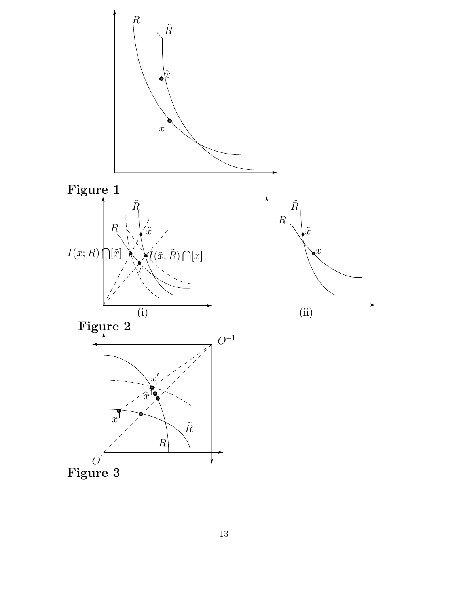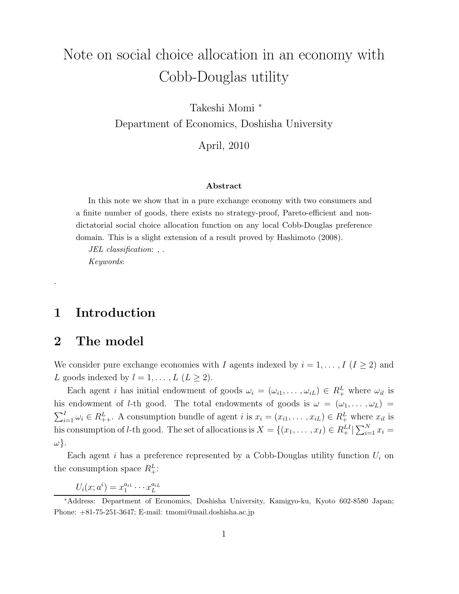# Note on social choice allocation in an economy with Cobb-Douglas utility

Takeshi Momi <sup>∗</sup> Department of Economics, Doshisha University

April, 2010

#### **Abstract**

In this note we show that in a pure exchange economy with two consumers and a finite number of goods, there exists no strategy-proof, Pareto-efficient and nondictatorial social choice allocation function on any local Cobb-Douglas preference domain. This is a slight extension of a result proved by Hashimoto (2008).

*JEL classification*:,. *Keywords*:

# **1 Introduction**

#### **2 The model**

.

We consider pure exchange economies with I agents indexed by  $i = 1, \ldots, I \ (I \geq 2)$  and L goods indexed by  $l = 1, ..., L$   $(L \geq 2)$ .

Each agent *i* has initial endowment of goods  $\omega_i = (\omega_{i1}, \dots, \omega_{iL}) \in R_+^L$  where  $\omega_{il}$  is his endowment of *l*-th good. The total endowments of goods is  $\omega = (\omega_1, \dots, \omega_L)$  $\sum_{i=1}^{I} \omega_i \in R_{++}^L$ . A consumption bundle of agent i is  $x_i = (x_{i1}, \dots, x_{iL}) \in R_{+}^L$  where  $x_{il}$  is his consumption of *l*-th good. The set of allocations is  $X = \{(x_1, \ldots, x_I) \in R_+^{L_I} | \sum_{i=1}^N x_i =$ ω}.

Each agent i has a preference represented by a Cobb-Douglas utility function  $U_i$  on the consumption space  $R_+^L$ :

 $U_i(x; a^i) = x_1^{a_{i1}} \cdots x_L^{a_{iL}}$ 

<sup>∗</sup>Address: Department of Economics, Doshisha University, Kamigyo-ku, Kyoto 602-8580 Japan; Phone: +81-75-251-3647; E-mail: tmomi@mail.doshisha.ac.jp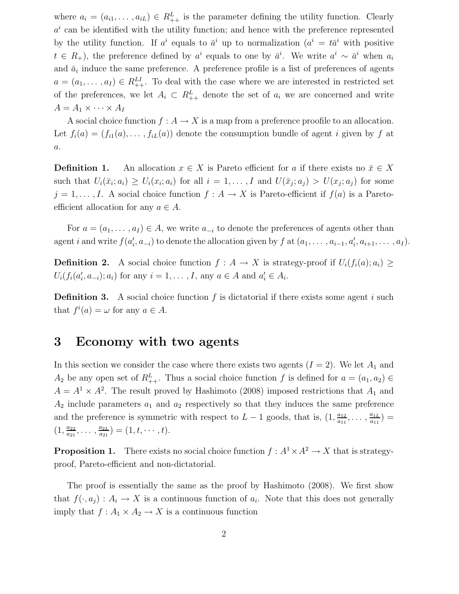where  $a_i = (a_{i1}, \ldots, a_{iL}) \in R_{++}^L$  is the parameter defining the utility function. Clearly  $a^i$  can be identified with the utility function; and hence with the preference represented by the utility function. If  $a^i$  equals to  $\bar{a}^i$  up to normalization  $(a^i = t\bar{a}^i$  with positive  $t \in R_+$ ), the preference defined by  $a^i$  equals to one by  $\bar{a}^i$ . We write  $a^i \sim \bar{a}^i$  when  $a_i$ and  $\bar{a}_i$  induce the same preference. A preference profile is a list of preferences of agents  $a = (a_1, \ldots, a_I) \in R_{++}^{LI}$ . To deal with the case where we are interested in restricted set of the preferences, we let  $A_i \subset R_{++}^L$  denote the set of  $a_i$  we are concerned and write  $A = A_1 \times \cdots \times A_I$ 

A social choice function  $f : A \to X$  is a map from a preference proofile to an allocation. Let  $f_i(a)=(f_{i1}(a),\ldots,f_{iL}(a))$  denote the consumption bundle of agent i given by f at  $\boldsymbol{a}.$ 

**Definition 1.** An allocation  $x \in X$  is Pareto efficient for a if there exists no  $\bar{x} \in X$ such that  $U_i(\bar{x}_i; a_i) \geq U_i(x_i; a_i)$  for all  $i = 1, \ldots, I$  and  $U(\bar{x}_i; a_i) > U(x_i; a_i)$  for some  $j = 1, \ldots, I$ . A social choice function  $f : A \to X$  is Pareto-efficient if  $f(a)$  is a Paretoefficient allocation for any  $a \in A$ .

For  $a = (a_1, \ldots, a_I) \in A$ , we write  $a_{-i}$  to denote the preferences of agents other than agent *i* and write  $f(a'_i, a_{-i})$  to denote the allocation given by  $f$  at  $(a_1, \ldots, a_{i-1}, a'_i, a_{i+1}, \ldots, a_I)$ .

**Definition 2.** A social choice function  $f : A \to X$  is strategy-proof if  $U_i(f_i(a); a_i) \geq$  $U_i(f_i(a'_i, a_{-i}); a_i)$  for any  $i = 1, \ldots, I$ , any  $a \in A$  and  $a'_i \in A_i$ .

**Definition 3.** A social choice function  $f$  is dictatorial if there exists some agent  $i$  such that  $f^i(a) = \omega$  for any  $a \in A$ .

## **3 Economy with two agents**

In this section we consider the case where there exists two agents  $(I = 2)$ . We let  $A_1$  and  $A_2$  be any open set of  $R_{++}^L$ . Thus a social choice function f is defined for  $a = (a_1, a_2) \in$  $A = A^1 \times A^2$ . The result proved by Hashimoto (2008) imposed restrictions that  $A_1$  and  $A_2$  include parameters  $a_1$  and  $a_2$  respectively so that they induces the same preference and the preference is symmetric with respect to  $L-1$  goods, that is,  $(1, \frac{a_{12}}{a_{11}}, \ldots, \frac{a_{1L}}{a_{11}})$  $(1, \frac{a_{22}}{a_{21}}, \ldots, \frac{a_{2L}}{a_{21}}) = (1, t, \cdots, t).$ 

**Proposition 1.** There exists no social choice function  $f : A^1 \times A^2 \to X$  that is strategyproof, Pareto-efficient and non-dictatorial.

The proof is essentially the same as the proof by Hashimoto (2008). We first show that  $f(\cdot, a_i): A_i \to X$  is a continuous function of  $a_i$ . Note that this does not generally imply that  $f: A_1 \times A_2 \to X$  is a continuous function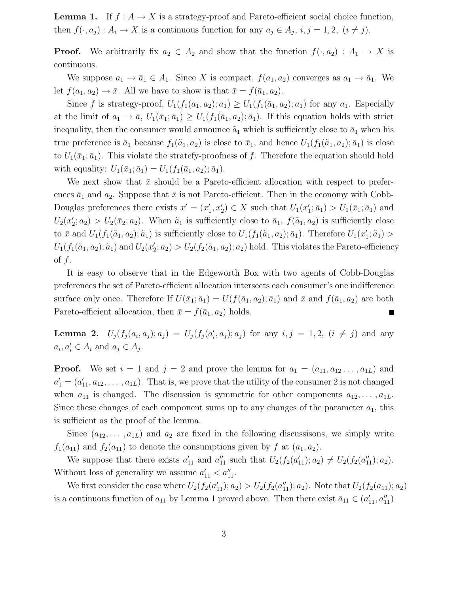**Lemma 1.** If  $f : A \to X$  is a strategy-proof and Pareto-efficient social choice function, then  $f(\cdot, a_j) : A_i \to X$  is a continuous function for any  $a_j \in A_j$ ,  $i, j = 1, 2, (i \neq j)$ .

**Proof.** We arbitrarily fix  $a_2 \in A_2$  and show that the function  $f(\cdot, a_2) : A_1 \to X$  is continuous.

We suppose  $a_1 \to \bar{a}_1 \in A_1$ . Since X is compact,  $f(a_1, a_2)$  converges as  $a_1 \to \bar{a}_1$ . We let  $f(a_1, a_2) \rightarrow \bar{x}$ . All we have to show is that  $\bar{x} = f(\bar{a}_1, a_2)$ .

Since f is strategy-proof,  $U_1(f_1(a_1, a_2); a_1) \ge U_1(f_1(\overline{a}_1, a_2); a_1)$  for any  $a_1$ . Especially at the limit of  $a_1 \to \bar{a}$ ,  $U_1(\bar{x}_1; \bar{a}_1) \geq U_1(f_1(\bar{a}_1, a_2); \bar{a}_1)$ . If this equation holds with strict inequality, then the consumer would announce  $\tilde{a}_1$  which is sufficiently close to  $\bar{a}_1$  when his true preference is  $\bar{a}_1$  because  $f_1(\tilde{a}_1, a_2)$  is close to  $\bar{x}_1$ , and hence  $U_1(f_1(\tilde{a}_1, a_2); \bar{a}_1)$  is close to  $U_1(\bar{x}_1; \bar{a}_1)$ . This violate the stratefy-proofness of f. Therefore the equation should hold with equality:  $U_1(\bar{x}_1; \bar{a}_1) = U_1(f_1(\bar{a}_1, a_2); \bar{a}_1).$ 

We next show that  $\bar{x}$  should be a Pareto-efficient allocation with respect to preferences  $\bar{a}_1$  and  $a_2$ . Suppose that  $\bar{x}$  is not Pareto-efficient. Then in the economy with Cobb-Douglas preferences there exists  $x' = (x'_1, x'_2) \in X$  such that  $U_1(x'_1; \bar{a}_1) > U_1(\bar{x}_1; \bar{a}_1)$  and  $U_2(x_2'; a_2) > U_2(\bar{x}_2; a_2)$ . When  $\tilde{a}_1$  is sufficiently close to  $\bar{a}_1$ ,  $f(\tilde{a}_1, a_2)$  is sufficiently close to  $\bar{x}$  and  $U_1(f_1(\tilde{a}_1, a_2); \tilde{a}_1)$  is sufficiently close to  $U_1(f_1(\tilde{a}_1, a_2); \bar{a}_1)$ . Therefore  $U_1(x_1'; \tilde{a}_1)$  $U_1(f_1(\tilde{a}_1, a_2); \tilde{a}_1)$  and  $U_2(x_2; a_2) > U_2(f_2(\tilde{a}_1, a_2); a_2)$  hold. This violates the Pareto-efficiency of  $f$ .

It is easy to observe that in the Edgeworth Box with two agents of Cobb-Douglas preferences the set of Pareto-efficient allocation intersects each consumer's one indifference surface only once. Therefore If  $U(\bar{x}_1; \bar{a}_1) = U(f(\bar{a}_1, a_2); \bar{a}_1)$  and  $\bar{x}$  and  $f(\bar{a}_1, a_2)$  are both Pareto-efficient allocation, then  $\bar{x} = f(\bar{a}_1, a_2)$  holds.

**Lemma 2.**  $U_j(f_j(a_i, a_j); a_j) = U_j(f_j(a'_i, a_j); a_j)$  for any  $i, j = 1, 2, (i \neq j)$  and any  $a_i, a'_i \in A_i$  and  $a_j \in A_j$ .

**Proof.** We set  $i = 1$  and  $j = 2$  and prove the lemma for  $a_1 = (a_{11}, a_{12}, \ldots, a_{1L})$  and  $a'_1 = (a'_{11}, a_{12}, \ldots, a_{1L})$ . That is, we prove that the utility of the consumer 2 is not changed when  $a_{11}$  is changed. The discussion is symmetric for other components  $a_{12}, \ldots, a_{1L}$ . Since these changes of each component sums up to any changes of the parameter  $a_1$ , this is sufficient as the proof of the lemma.

Since  $(a_{12}, \ldots, a_{1L})$  and  $a_2$  are fixed in the following discussisons, we simply write  $f_1(a_{11})$  and  $f_2(a_{11})$  to denote the consumptions given by f at  $(a_1, a_2)$ .

We suppose that there exists  $a'_{11}$  and  $a''_{11}$  such that  $U_2(f_2(a'_{11}); a_2) \neq U_2(f_2(a''_{11}); a_2)$ . Without loss of generality we assume  $a'_{11} < a''_{11}$ .

We first consider the case where  $U_2(f_2(a'_{11}); a_2) > U_2(f_2(a''_{11}); a_2)$ . Note that  $U_2(f_2(a_{11}); a_2)$ is a continuous function of  $a_{11}$  by Lemma 1 proved above. Then there exist  $\bar{a}_{11} \in (a'_{11}, a''_{11})$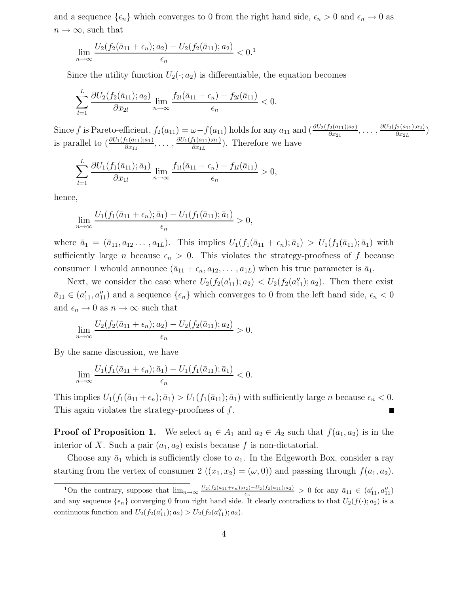and a sequence  $\{\epsilon_n\}$  which converges to 0 from the right hand side,  $\epsilon_n > 0$  and  $\epsilon_n \to 0$  as  $n \to \infty$ , such that

$$
\lim_{n \to \infty} \frac{U_2(f_2(\bar{a}_{11} + \epsilon_n); a_2) - U_2(f_2(\bar{a}_{11}); a_2)}{\epsilon_n} < 0.1
$$

Since the utility function  $U_2(\cdot; a_2)$  is differentiable, the equation becomes

$$
\sum_{l=1}^{L} \frac{\partial U_2(f_2(\bar{a}_{11}); a_2)}{\partial x_{2l}} \lim_{n \to \infty} \frac{f_{2l}(\bar{a}_{11} + \epsilon_n) - f_{2l}(\bar{a}_{11})}{\epsilon_n} < 0.
$$

Since f is Pareto-efficient,  $f_2(a_{11}) = \omega - f(a_{11})$  holds for any  $a_{11}$  and  $\left(\frac{\partial U_2(f_2(a_{11});a_2)}{\partial x_{21}},\ldots,\frac{\partial U_2(f_2(a_{11});a_2)}{\partial x_{2L}}\right)$ is parallel to  $\left(\frac{\partial U_1(f_1(a_{11});a_1)}{\partial x_{11}},\ldots,\frac{\partial U_1(f_1(a_{11});a_1)}{\partial x_{1L}}\right)$ . Therefore we have

$$
\sum_{l=1}^{L} \frac{\partial U_1(f_1(\bar{a}_{11}); \bar{a}_1)}{\partial x_{1l}} \lim_{n \to \infty} \frac{f_{1l}(\bar{a}_{11} + \epsilon_n) - f_{1l}(\bar{a}_{11})}{\epsilon_n} > 0,
$$

hence,

$$
\lim_{n \to \infty} \frac{U_1(f_1(\bar{a}_{11} + \epsilon_n); \bar{a}_1) - U_1(f_1(\bar{a}_{11}); \bar{a}_1)}{\epsilon_n} > 0,
$$

where  $\bar{a}_1 = (\bar{a}_{11}, a_{12}, \ldots, a_{1L})$ . This implies  $U_1(f_1(\bar{a}_{11} + \epsilon_n); \bar{a}_1) > U_1(f_1(\bar{a}_{11}); \bar{a}_1)$  with sufficiently large *n* because  $\epsilon_n > 0$ . This violates the strategy-proofness of f because consumer 1 whould announce  $(\bar{a}_{11} + \epsilon_n, a_{12}, \ldots, a_{1L})$  when his true parameter is  $\bar{a}_1$ .

Next, we consider the case where  $U_2(f_2(a'_{11}); a_2) < U_2(f_2(a''_{11}); a_2)$ . Then there exist  $\bar{a}_{11} \in (a'_{11}, a''_{11})$  and a sequence  $\{\epsilon_n\}$  which converges to 0 from the left hand side,  $\epsilon_n < 0$ and  $\epsilon_n \to 0$  as  $n \to \infty$  such that

$$
\lim_{n \to \infty} \frac{U_2(f_2(\bar{a}_{11} + \epsilon_n); a_2) - U_2(f_2(\bar{a}_{11}); a_2)}{\epsilon_n} > 0.
$$

By the same discussion, we have

$$
\lim_{n \to \infty} \frac{U_1(f_1(\bar{a}_{11} + \epsilon_n); \bar{a}_1) - U_1(f_1(\bar{a}_{11}); \bar{a}_1)}{\epsilon_n} < 0.
$$

This implies  $U_1(f_1(\bar{a}_{11} + \epsilon_n); \bar{a}_1) > U_1(f_1(\bar{a}_{11}); \bar{a}_1)$  with sufficiently large n because  $\epsilon_n < 0$ . This again violates the strategy-proofness of f. п

**Proof of Proposition 1.** We select  $a_1 \in A_1$  and  $a_2 \in A_2$  such that  $f(a_1, a_2)$  is in the interior of X. Such a pair  $(a_1, a_2)$  exists because f is non-dictatorial.

Choose any  $\bar{a}_1$  which is sufficiently close to  $a_1$ . In the Edgeworth Box, consider a ray starting from the vertex of consumer 2  $((x_1, x_2)=(\omega, 0))$  and passing through  $f(a_1, a_2)$ .

<sup>&</sup>lt;sup>1</sup>On the contrary, suppose that  $\lim_{n\to\infty} \frac{U_2(f_2(\bar{a}_{11}+\epsilon_n);a_2)-U_2(f_2(\bar{a}_{11});a_2)}{\epsilon_n} > 0$  for any  $\bar{a}_{11} \in (a'_{11}, a''_{11})$ and any sequence  $\{\epsilon_n\}$  converging 0 from right hand side. It clearly contradicts to that  $U_2(f(\cdot); a_2)$  is a continuous function and  $U_2(f_2(a'_{11}); a_2) > U_2(f_2(a''_{11}); a_2)$ .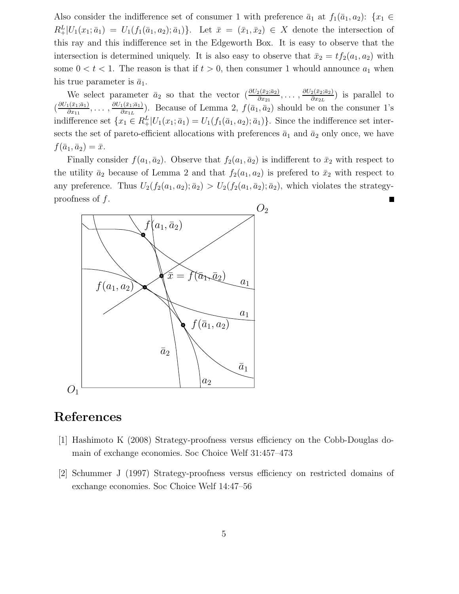Also consider the indifference set of consumer 1 with preference  $\bar{a}_1$  at  $f_1(\bar{a}_1, a_2)$ :  $\{x_1 \in$  $R_+^L|U_1(x_1; \bar{a}_1) = U_1(f_1(\bar{a}_1, a_2); \bar{a}_1).$  Let  $\bar{x} = (\bar{x}_1, \bar{x}_2) \in X$  denote the intersection of this ray and this indifference set in the Edgeworth Box. It is easy to observe that the intersection is determined uniquely. It is also easy to observe that  $\bar{x}_2 = tf_2(a_1, a_2)$  with some  $0 < t < 1$ . The reason is that if  $t > 0$ , then consumer 1 whould announce  $a_1$  when his true parameter is  $\bar{a}_1$ .

We select parameter  $\bar{a}_2$  so that the vector  $\left(\frac{\partial U_2(\bar{x}_2,\bar{a}_2)}{\partial x_{21}},\ldots,\frac{\partial U_2(\bar{x}_2,\bar{a}_2)}{\partial x_{2L}}\right)$  is parallel to  $(\frac{\partial U_1(\bar{x}_1,\bar{a}_1)}{\partial x_{11}},\ldots,\frac{\partial U_1(\bar{x}_1,\bar{a}_1)}{\partial x_{1L}})$ . Because of Lemma 2,  $f(\bar{a}_1,\bar{a}_2)$  should be on the consuner 1's indifference set  $\{x_1 \in R_+^L | U_1(x_1; \bar{a}_1) = U_1(f_1(\bar{a}_1, a_2); \bar{a}_1)\}\.$  Since the indifference set intersects the set of pareto-efficient allocations with preferences  $\bar{a}_1$  and  $\bar{a}_2$  only once, we have  $f(\bar{a}_1, \bar{a}_2)=\bar{x}.$ 

Finally consider  $f(a_1, \bar{a}_2)$ . Observe that  $f_2(a_1, \bar{a}_2)$  is indifferent to  $\bar{x}_2$  with respect to the utility  $\bar{a}_2$  because of Lemma 2 and that  $f_2(a_1, a_2)$  is prefered to  $\bar{x}_2$  with respect to any preference. Thus  $U_2(f_2(a_1, a_2); \bar{a}_2) > U_2(f_2(a_1, \bar{a}_2); \bar{a}_2)$ , which violates the strategyproofness of f.



# **References**

- [1] Hashimoto K (2008) Strategy-proofness versus efficiency on the Cobb-Douglas domain of exchange economies. Soc Choice Welf 31:457–473
- [2] Schummer J (1997) Strategy-proofness versus efficiency on restricted domains of exchange economies. Soc Choice Welf 14:47–56